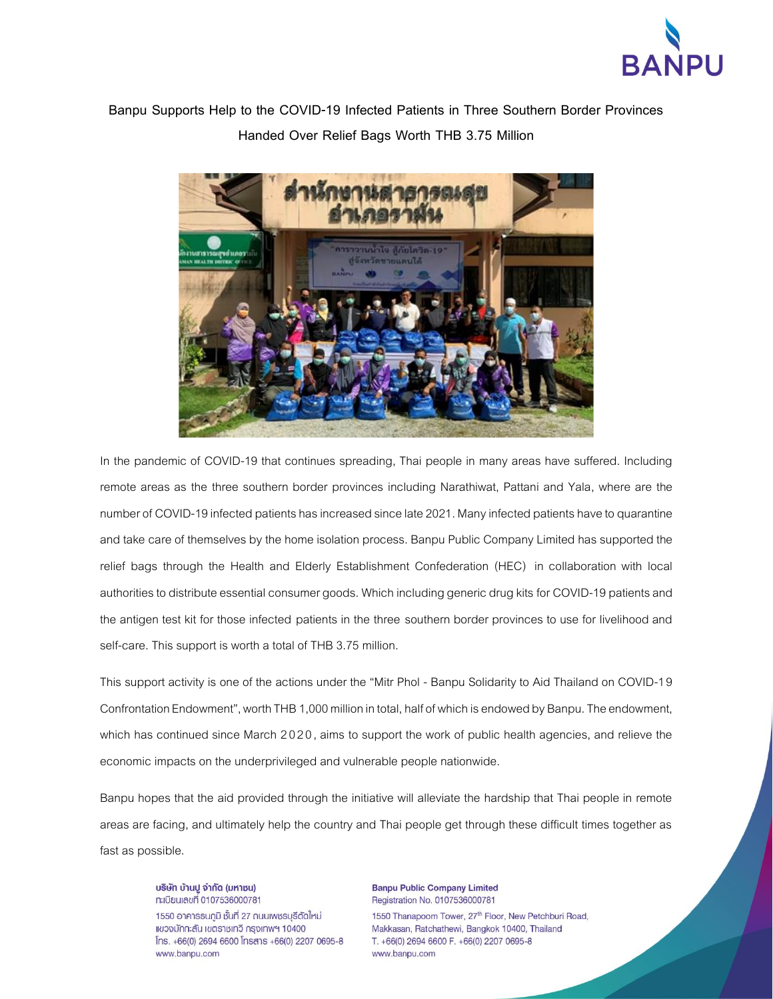

**Banpu Supports Help to the COVID-19 Infected Patients in Three Southern Border Provinces Handed Over Relief Bags Worth THB 3.75 Million**



In the pandemic of COVID-19 that continues spreading, Thai people in many areas have suffered. Including remote areas as the three southern border provinces including Narathiwat, Pattani and Yala, where are the number of COVID-19 infected patients has increased since late 2021. Many infected patients have to quarantine and take care of themselves by the home isolation process. Banpu Public Company Limited has supported the relief bags through the Health and Elderly Establishment Confederation (HEC) in collaboration with local authorities to distribute essential consumer goods. Which including generic drug kits for COVID-19 patients and the antigen test kit for those infected patients in the three southern border provinces to use for livelihood and self-care. This support is worth a total of THB 3.75 million.

This support activity is one of the actions under the "Mitr Phol - Banpu Solidarity to Aid Thailand on COVID-19 Confrontation Endowment", worth THB 1,000 million in total, half of which is endowed by Banpu. The endowment, which has continued since March 2020, aims to support the work of public health agencies, and relieve the economic impacts on the underprivileged and vulnerable people nationwide.

Banpu hopes that the aid provided through the initiative will alleviate the hardship that Thai people in remote areas are facing, and ultimately help the country and Thai people get through these difficult times together as fast as possible.

บริษัท บ้านปู จำกัด (มหาชน) n:เบียนเลขที่ 0107536000781

1550 อาคารธนกูมิ ชั้นที่ 27 ถนนเพชรบุรีตัดใหม่ แขวงมักกะสัน เขตราชเทวี กรุงเทพฯ 10400  $[ns. +66(0) 2694 6600$   $[nsans +66(0) 2207 0695-8]$ www.banpu.com

**Banpu Public Company Limited** Registration No. 0107536000781

1550 Thanapoom Tower, 27th Floor, New Petchburi Road, Makkasan, Ratchathewi, Bangkok 10400, Thailand T. +66(0) 2694 6600 F. +66(0) 2207 0695-8 www.banpu.com